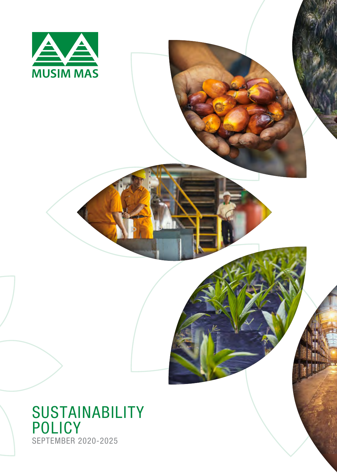

### SUSTAINABILITY POLICY SEPTEMBER 2020-2025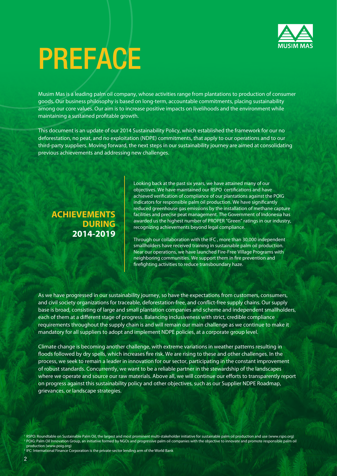

# PREFACE

Musim Mas is a leading palm oil company, whose activities range from plantations to production of consumer goods. Our business philosophy is based on long-term, accountable commitments, placing sustainability among our core values. Our aim is to increase positive impacts on livelihoods and the environment while maintaining a sustained profitable growth.

This document is an update of our 2014 Sustainability Policy, which established the framework for our no deforestation, no peat, and no exploitation (NDPE) commitments, that apply to our operations and to our third-party suppliers. Moving forward, the next steps in our sustainability journey are aimed at consolidating previous achievements and addressing new challenges.

#### **ACHIEVEMENTS DURING 2014-2019**

Looking back at the past six years, we have attained many of our objectives. We have maintained our RSPO certifications and have achieved verification of compliance of our plantations against the POIG indicators for responsible palm oil production. We have significantly reduced greenhouse gas emissions by the installation of methane capture facilities and precise peat management. The Government of Indonesia has awarded us the highest number of PROPER "Green" ratings in our industry, recognizing achievements beyond legal compliance.

Through our collaboration with the IFC , more than 30,000 independent smallholders have received training in sustainable palm oil production. Near our operations, we have launched Fire-Free Village Programs with neighboring communities. We support them in fire prevention and firefighting activities to reduce transboundary haze.

As we have progressed in our sustainability journey, so have the expectations from customers, consumers, and civil society organizations for traceable, deforestation-free, and conflict-free supply chains. Our supply base is broad, consisting of large and small plantation companies and scheme and independent smallholders, each of them at a different stage of progress. Balancing inclusiveness with strict, credible compliance requirements throughout the supply chain is and will remain our main challenge as we continue to make it mandatory for all suppliers to adopt and implement NDPE policies, at a corporate group level.

Climate change is becoming another challenge, with extreme variations in weather patterns resulting in floods followed by dry spells, which increases fire risk. We are rising to these and other challenges. In the process, we seek to remain a leader in innovation for our sector, participating in the constant improvement of robust standards. Concurrently, we want to be a reliable partner in the stewardship of the landscapes where we operate and source our raw materials. Above all, we will continue our efforts to transparently report on progress against this sustainability policy and other objectives, such as our Supplier NDPE Roadmap, grievances, or landscape strategies.

<sup>1</sup> RSPO: Roundtable on Sustainable Palm Oil, the largest and most prominent multi-stakeholder initiative for sustainable palm oil production and use (www.rspo.org) <sup>2</sup> POIG: Palm Oil Innovation Group, an initiative formed by NGOs and progressive palm oil companies with the objective to innovate and promote responsible palm oil production (www.poig.org)

<sup>3</sup> IFC: International Finance Corporation is the private-sector lending arm of the World Bank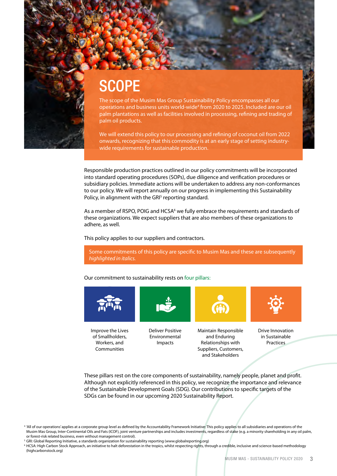## **SCOPE**

The scope of the Musim Mas Group Sustainability Policy encompasses all our operations and business units world-wide<sup>4</sup> from 2020 to 2025. Included are our oil palm plantations as well as facilities involved in processing, refining and trading of palm oil products.

We will extend this policy to our processing and refining of coconut oil from 2022 onwards, recognizing that this commodity is at an early stage of setting industrywide requirements for sustainable production.

Responsible production practices outlined in our policy commitments will be incorporated into standard operating procedures (SOPs), due diligence and verification procedures or subsidiary policies. Immediate actions will be undertaken to address any non-conformances to our policy. We will report annually on our progress in implementing this Sustainability Policy, in alignment with the GRI<sup>5</sup> reporting standard.

As a member of RSPO, POIG and HCSA $<sup>6</sup>$  we fully embrace the requirements and standards of</sup> these organizations. We expect suppliers that are also members of these organizations to adhere, as well.

This policy applies to our suppliers and contractors.

Some commitments of this policy are specific to Musim Mas and these are subsequently *highlighted in italics.*

Our commitment to sustainability rests on four pillars:



Improve the Lives of Smallholders, Workers, and Communities



Deliver Positive Environmental Impacts



Maintain Responsible and Enduring Relationships with Suppliers, Customers, and Stakeholders



Drive Innovation in Sustainable **Practices** 

These pillars rest on the core components of sustainability, namely people, planet and profit. Although not explicitly referenced in this policy, we recognize the importance and relevance of the Sustainable Development Goals (SDG). Our contributions to specific targets of the SDGs can be found in our upcoming 2020 Sustainability Report.

<sup>&</sup>lt;sup>4</sup> 'All of our operations' applies at a corporate group level as defined by the Accountability Framework Initiative: This policy applies to all subsidiaries and operations of the Musim Mas Group, Inter-Continental Oils and Fats (ICOF), joint venture partnerships and includes investments, regardless of stake (e.g. a minority shareholding in any oil palm, or forest-risk related business, even without management control).

<sup>&</sup>lt;sup>5</sup> GRI: Global Reporting Initiative, a standards organization for sustainability reporting (www.globalreporting.org)

<sup>&</sup>lt;sup>6</sup> HCSA: High Carbon Stock Approach, an initiative to halt deforestation in the tropics, whilst respecting rights, through a credible, inclusive and science-based methodology (highcarbonstock.org)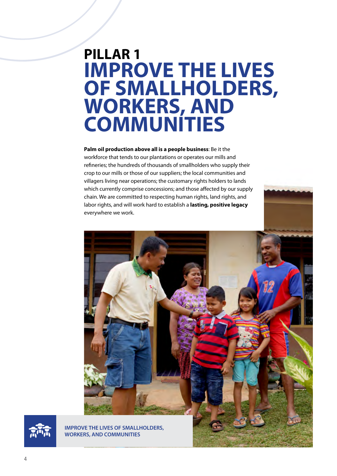### **PILLAR 1 IMPROVE THE LIVES OF SMALLHOLDERS, WORKERS, AND COMMUNITIES**

**Palm oil production above all is a people business**: Be it the workforce that tends to our plantations or operates our mills and refineries; the hundreds of thousands of smallholders who supply their crop to our mills or those of our suppliers; the local communities and villagers living near operations; the customary rights holders to lands which currently comprise concessions; and those affected by our supply chain. We are committed to respecting human rights, land rights, and labor rights, and will work hard to establish a **lasting, positive legacy**  everywhere we work.





**IMPROVE THE LIVES OF SMALLHOLDERS, WORKERS, AND COMMUNITIES**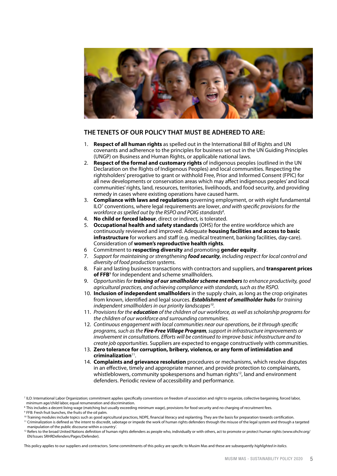

- 1. **Respect of all human rights** as spelled out in the International Bill of Rights and UN covenants and adherence to the principles for business set out in the UN Guiding Principles (UNGP) on Business and Human Rights, or applicable national laws.
- 2. **Respect of the formal and customary rights** of indigenous peoples (outlined in the UN Declaration on the Rights of Indigenous Peoples) and local communities. Respecting the rightsholders' prerogative to grant or withhold Free, Prior and Informed Consent (FPIC) for all new developments or conservation areas which may affect indigenous peoples' and local communities' rights, land, resources, territories, livelihoods, and food security, and providing remedy in cases where existing operations have caused harm.
- 3. **Compliance with laws and regulations** governing employment, or with eight fundamental ILO7 conventions, where legal requirements are lower, *and with specific provisions for the workforce as spelled out by the RSPO and POIG standards8 .*
- 4. **No child or forced labour**, direct or indirect, is tolerated.
- 5. **Occupational health and safety standards** (OHS) for the entire workforce which are continuously reviewed and improved. Adequate **housing facilities and access to basic infrastructure** for workers and staff (e.g. medical treatment, banking facilities, day-care). Consideration of **women's reproductive health rights**.
- 6 Commitment to **respecting diversity** and promoting **gender equity**.
- 7. *Support for maintaining or strengthening food security, including respect for local control and diversity of food production systems.*
- 8. Fair and lasting business transactions with contractors and suppliers, and **transparent prices**  of FFB<sup>9</sup> for independent and scheme smallholders.
- 9. *Opportunities for training of our smallholder scheme members to enhance productivity, good agricultural practices, and achieving compliance with standards, such as the RSPO.*
- 10. **Inclusion of independent smallholders** in the supply chain, as long as the crop originates from known, identified and legal sources. *Establishment of smallholder hubs for training independent smallholders in our priority landscapes10.*
- 11. *Provisions for the education of the children of our workforce, as well as scholarship programs for the children of our workforce and surrounding communities.*
- 12. *Continuous engagement with local communities near our operations, be it through specific programs, such as the Fire-Free Village Program, support in infrastructure improvements or involvement in consultations. Efforts will be continued to improve basic infrastructure and to create job opportunities.* Suppliers are expected to engage constructively with communities.
- 13. **Zero tolerance for corruption, bribery, violence, or any form of intimidation and criminalization**11.
- 14. **Complaints and grievance resolution** procedures or mechanisms, which resolve disputes in an effective, timely and appropriate manner, and provide protection to complainants, whistleblowers, community spokespersons and human rights<sup>12</sup>, land and environment defenders. Periodic review of accessibility and performance.

manipulation of the public discourse within a country'.

This policy applies to our suppliers and contractors. Some commitments of this policy are specific to Musim Mas and these are subsequently *highlighted in italics.*

<sup>&</sup>lt;sup>7</sup> ILO: International Labor Organization; commitment applies specifically conventions on freedom of association and right to organize, collective bargaining, forced labor, minimum age/child labor, equal renumeration and discrimination.

<sup>&</sup>lt;sup>8</sup> This includes a decent living wage (matching but usually exceeding minimum wage), provisions for food security and no charging of recruitment fees.

<sup>9</sup> FFB: Fresh fruit bunches, the fruits of the oil palm.

<sup>&</sup>lt;sup>10</sup> Training modules include topics such as good agricultural practices, NDPE, financial literacy and replanting. They are the basis for preparation towards certification. <sup>11</sup> Criminalization is defined as 'the intent to discredit, sabotage or impede the work of human rights defenders through the misuse of the legal system and through a targeted

<sup>&</sup>lt;sup>12</sup> Refers to the broad United Nations definition of human rights defenders as people who, individually or with others, act to promote or protect human rights (www.ohchr.org/ EN/Issues SRHRDefenders/Pages/Defender).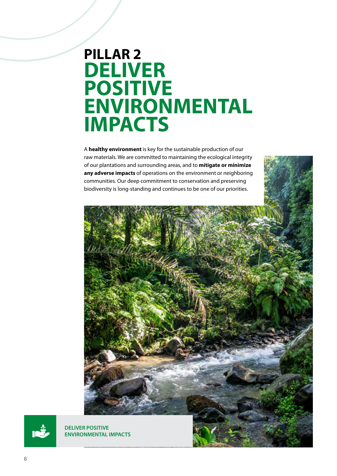### **PILLAR 2 DELIVER POSITIVE ENVIRONMENTAL IMPACTS**

A **healthy environment** is key for the sustainable production of our raw materials. We are committed to maintaining the ecological integrity of our plantations and surrounding areas, and to **mitigate or minimize any adverse impacts** of operations on the environment or neighboring communities. Our deep commitment to conservation and preserving biodiversity is long-standing and continues to be one of our priorities.





**DELIVER POSITIVE ENVIRONMENTAL IMPACTS**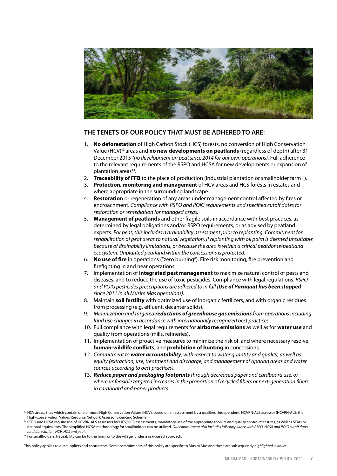

- 1. **No deforestation** of High Carbon Stock (HCS) forests, no conversion of High Conservation Value (HCV)13 areas and **no new developments on peatlands** (regardless of depth) after 31 December 2015 *(no development on peat since 2014 for our own operations).* Full adherence to the relevant requirements of the RSPO and HCSA for new developments or expansion of plantation areas<sup>14</sup>.
- 2. **Traceability of FFB** to the place of production (industrial plantation or smallholder farm<sup>15</sup>).
- 3. **Protection, monitoring and management** of HCV areas and HCS forests in estates and where appropriate in the surrounding landscape.
- 4. **Restoration** or regeneration of any areas under management control affected by fires or encroachment. *Compliance with RSPO and POIG requirements and specified cutoff dates for restoration or remediation for managed areas.*
- 5. **Management of peatlands** and other fragile soils in accordance with best practices, as determined by legal obligations and/or RSPO requirements, or as advised by peatland experts. *For peat, this includes a drainability assessment prior to replanting. Commitment for rehabilitation of peat areas to natural vegetation, if replanting with oil palm is deemed unsuitable because of drainability limitations, or because the area is within a critical peatdome/peatland ecosystem. Unplanted peatland within the concessions is protected.*
- 6. **No use of fire** in operations ("zero burning"). Fire risk monitoring, fire prevention and firefighting in and near operations.
- 7. Implementation of **integrated pest management** to maximize natural control of pests and diseases, and to reduce the use of toxic pesticides. Compliance with legal regulations. *RSPO and POIG pesticides prescriptions are adhered to in full (Use of Paraquat has been stopped since 2011 in all Musim Mas operations).*
- 8. Maintain **soil fertility** with optimized use of inorganic fertilizers, and with organic residues from processing (e.g. effluent, decanter solids).
- 9. *Minimization and targeted reductions of greenhouse gas emissions from operations including land use changes in accordance with internationally recognized best practices.*
- 10. Full compliance with legal requirements for **airborne emissions** as well as for **water use** and quality from operations (mills, refineries).
- 11. Implementation of proactive measures to minimize the risk of, and where necessary resolve, **human-wildlife conflicts**, and **prohibition of hunting** in concessions.
- 12. *Commitment to water accountability, with respect to water quantity and quality, as well as equity (extraction, use, treatment and discharge, and management of riparian areas and water sources according to best practices).*
- 13. *Reduce paper and packaging footprints through decreased paper and cardboard use, or where unfeasible targeted increases in the proportion of recycled fibers or next-generation fibers in cardboard and paper products.*

This policy applies to our suppliers and contractors. Some commitments of this policy are specific to Musim Mas and these are subsequently *highlighted in italics.*

<sup>&</sup>lt;sup>13</sup> HCV areas: Sites which contain one or more High Conservation Values (HCV), based on an assessment by a qualified, independent, HCVRN-ALS assessor (HCVRN-ALS: the High-Conservation Values Resource Network Assessor Licencing Scheme).

<sup>&</sup>lt;sup>14</sup> RSPO and HCSA require use of HCVRN-ALS assessors for HCV/HCS assessments, mandatory use of the appropriate toolkits and quality control measures, as well as SEIAs or national equivalents. The simplified HCSA methodology for smallholders can be utilized. *Our commitment also includes full compliance with RSPO, HCSA and POIG cutoff dates for deforestation, HCV, HCS and peat.*

<sup>&</sup>lt;sup>15</sup> For smallholders, traceability can be to the farm, or to the village, under a risk-based approach.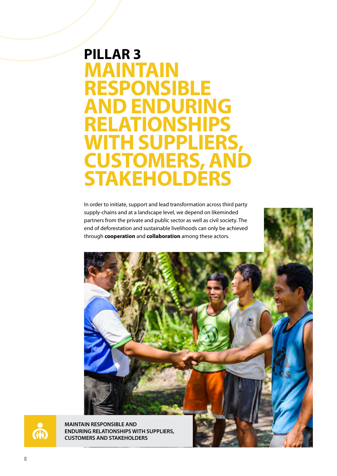### **PILLAR 3 MAINTAIN RESPONSIBLE AND ENDURING RELATIONSHIPS WITH SUPPLIERS, CUSTOMERS, AND STAKEHOLDERS**

In order to initiate, support and lead transformation across third party supply-chains and at a landscape level, we depend on likeminded partners from the private and public sector as well as civil society. The end of deforestation and sustainable livelihoods can only be achieved through **cooperation** and **collaboration** among these actors.

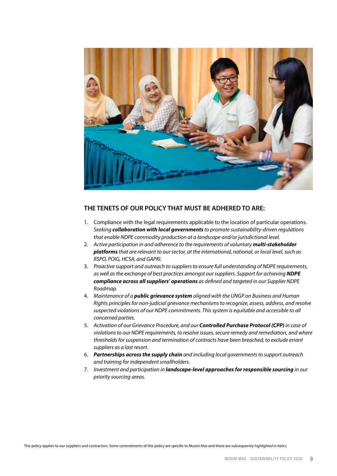

- 1. Compliance with the legal requirements applicable to the location of particular operations. *Seeking collaboration with local governments to promote sustainability-driven regulations that enable NDPE commodity production at a landscape and/or jurisdictional level.*
- 2. *Active participation in and adherence to the requirements of voluntary multi-stakeholder platforms that are relevant to our sector, at the international, national, or local level, such as RSPO, POIG, HCSA, and GAPKI.*
- 3. *Proactive support and outreach to suppliers to ensure full understanding of NDPE requirements, as well as the exchange of best practices amongst our suppliers. Support for achieving NDPE compliance across all suppliers' operations as defined and targeted in our Supplier NDPE Roadmap.*
- 4. *Maintenance of a public grievance system aligned with the UNGP on Business and Human Rights principles for non-judicial grievance mechanisms to recognize, assess, address, and resolve suspected violations of our NDPE commitments. This system is equitable and accessible to all concerned parties.*
- 5. *Activation of our Grievance Procedure, and our Controlled Purchase Protocol (CPP) in case of violations to our NDPE requirements, to resolve issues, secure remedy and remediation, and where thresholds for suspension and termination of contracts have been breached, to exclude errant suppliers as a last resort.*
- 6. *Partnerships across the supply chain and including local governments to support outreach and training for independent smallholders.*
- 7. *Investment and participation in landscape-level approaches for responsible sourcing in our priority sourcing areas.*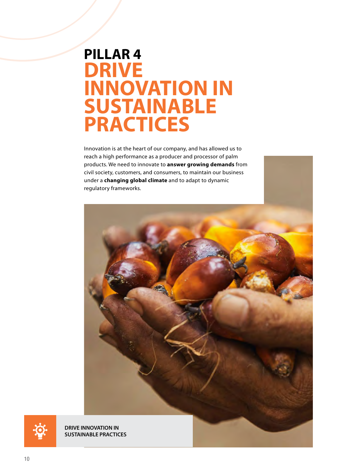### **PILLAR 4 DRIVE INNOVATION IN SUSTAINABLE PRACTICES**

Innovation is at the heart of our company, and has allowed us to reach a high performance as a producer and processor of palm products. We need to innovate to **answer growing demands** from civil society, customers, and consumers, to maintain our business under a **changing global climate** and to adapt to dynamic regulatory frameworks.





**DRIVE INNOVATION IN SUSTAINABLE PRACTICES**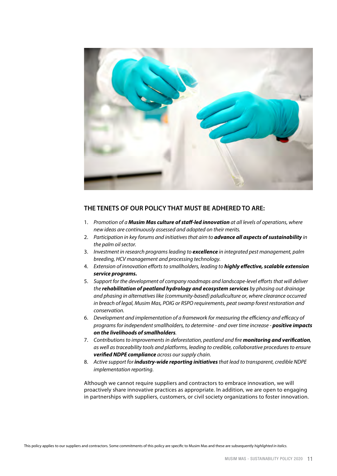

- 1. *Promotion of a Musim Mas culture of staff-led innovation at all levels of operations, where new ideas are continuously assessed and adopted on their merits.*
- 2. *Participation in key forums and initiatives that aim to advance all aspects of sustainability in the palm oil sector.*
- 3. *Investment in research programs leading to excellence in integrated pest management, palm breeding, HCV management and processing technology.*
- 4. *Extension of innovation efforts to smallholders, leading to highly effective, scalable extension service programs.*
- 5. *Support for the development of company roadmaps and landscape-level efforts that will deliver the rehabilitation of peatland hydrology and ecosystem services by phasing out drainage and phasing in alternatives like (community-based) paludiculture or, where clearance occurred in breach of legal, Musim Mas, POIG or RSPO requirements, peat swamp forest restoration and conservation.*
- 6. *Development and implementation of a framework for measuring the efficiency and efficacy of programs for independent smallholders, to determine - and over time increase - positive impacts on the livelihoods of smallholders.*
- 7. *Contributions to improvements in deforestation, peatland and fire monitoring and verification, as well as traceability tools and platforms, leading to credible, collaborative procedures to ensure verified NDPE compliance across our supply chain.*
- 8. *Active support for industry-wide reporting initiatives that lead to transparent, credible NDPE implementation reporting.*

Although we cannot require suppliers and contractors to embrace innovation, we will proactively share innovative practices as appropriate. In addition, we are open to engaging in partnerships with suppliers, customers, or civil society organizations to foster innovation.